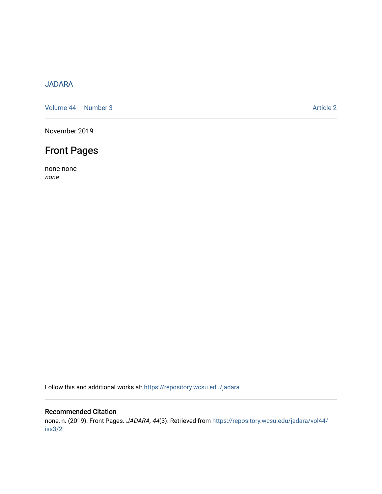### [JADARA](https://repository.wcsu.edu/jadara)

[Volume 44](https://repository.wcsu.edu/jadara/vol44) | [Number 3](https://repository.wcsu.edu/jadara/vol44/iss3) Article 2

November 2019

## Front Pages

none none none

Follow this and additional works at: [https://repository.wcsu.edu/jadara](https://repository.wcsu.edu/jadara?utm_source=repository.wcsu.edu%2Fjadara%2Fvol44%2Fiss3%2F2&utm_medium=PDF&utm_campaign=PDFCoverPages)

#### Recommended Citation

none, n. (2019). Front Pages. JADARA, 44(3). Retrieved from [https://repository.wcsu.edu/jadara/vol44/](https://repository.wcsu.edu/jadara/vol44/iss3/2?utm_source=repository.wcsu.edu%2Fjadara%2Fvol44%2Fiss3%2F2&utm_medium=PDF&utm_campaign=PDFCoverPages) [iss3/2](https://repository.wcsu.edu/jadara/vol44/iss3/2?utm_source=repository.wcsu.edu%2Fjadara%2Fvol44%2Fiss3%2F2&utm_medium=PDF&utm_campaign=PDFCoverPages)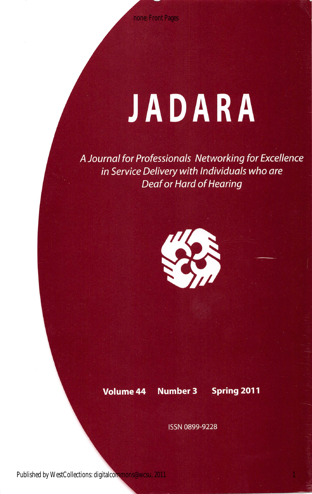none: Front Pages

# JADARA

A Journal for Professionals Networking for Excellence in Service Delivery with Individuals who are Deaf or Hard of Hearing



Volume 44 Number 3 Spring 2011

ISSN 0899-9228

Published by WestCollections: digitalcommons@wcsu, 2011